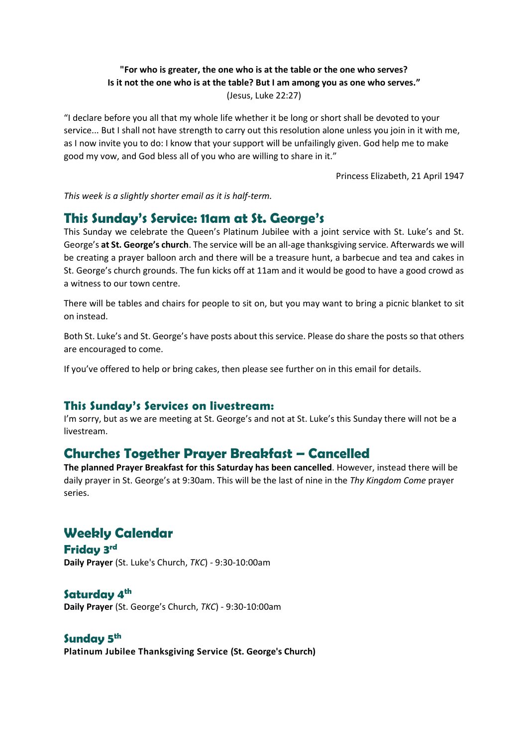#### **"For who is greater, the one who is at the table or the one who serves? Is it not the one who is at the table? But I am among you as one who serves."** (Jesus, Luke 22:27)

"I declare before you all that my whole life whether it be long or short shall be devoted to your service... But I shall not have strength to carry out this resolution alone unless you join in it with me, as I now invite you to do: I know that your support will be unfailingly given. God help me to make good my vow, and God bless all of you who are willing to share in it."

Princess Elizabeth, 21 April 1947

*This week is a slightly shorter email as it is half-term.* 

## **This Sunday's Service: 11am at St. George's**

This Sunday we celebrate the Queen's Platinum Jubilee with a joint service with St. Luke's and St. George's **at St. George's church**. The service will be an all-age thanksgiving service. Afterwards we will be creating a prayer balloon arch and there will be a treasure hunt, a barbecue and tea and cakes in St. George's church grounds. The fun kicks off at 11am and it would be good to have a good crowd as a witness to our town centre.

There will be tables and chairs for people to sit on, but you may want to bring a picnic blanket to sit on instead.

Both St. Luke's and St. George's have posts about this service. Please do share the posts so that others are encouraged to come.

If you've offered to help or bring cakes, then please see further on in this email for details.

### **This Sunday's Services on livestream:**

I'm sorry, but as we are meeting at St. George's and not at St. Luke's this Sunday there will not be a livestream.

# **Churches Together Prayer Breakfast – Cancelled**

**The planned Prayer Breakfast for this Saturday has been cancelled**. However, instead there will be daily prayer in St. George's at 9:30am. This will be the last of nine in the *Thy Kingdom Come* prayer series.

# **Weekly Calendar**

**Friday 3 rd Daily Prayer** (St. Luke's Church, *TKC*) - 9:30-10:00am

#### **Saturday 4 th**

**Daily Prayer** (St. George's Church, *TKC*) - 9:30-10:00am

### **Sunday 5 th**

**Platinum Jubilee Thanksgiving Service (St. George's Church)**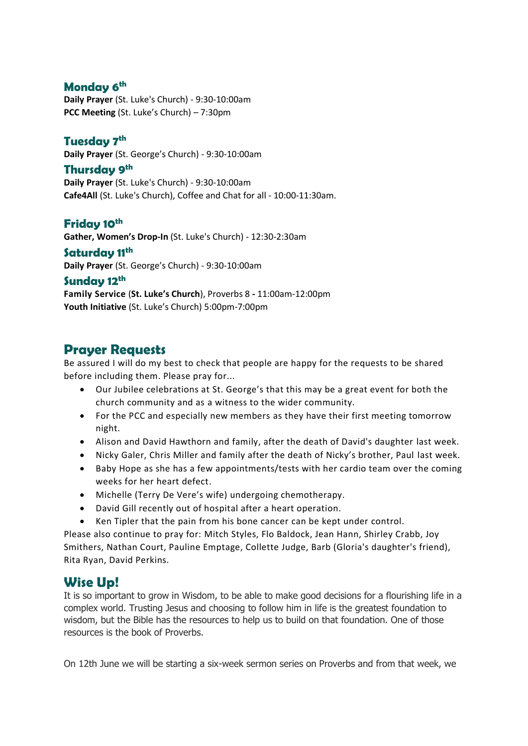### **Monday 6 th**

**Daily Prayer** (St. Luke's Church) - 9:30-10:00am **PCC Meeting** (St. Luke's Church) – 7:30pm

### **Tuesday 7 th**

**Daily Prayer** (St. George's Church) - 9:30-10:00am

**Thursday 9th Daily Prayer** (St. Luke's Church) - 9:30-10:00am **Cafe4All** (St. Luke's Church), Coffee and Chat for all - 10:00-11:30am.

#### **Friday 10th**

**Gather, Women's Drop-In** (St. Luke's Church) - 12:30-2:30am

### **Saturday 11th**

**Daily Prayer** (St. George's Church) - 9:30-10:00am

#### **Sunday 12th**

**Family Service** (**St. Luke's Church**), Proverbs 8 **-** 11:00am-12:00pm **Youth Initiative** (St. Luke's Church) 5:00pm-7:00pm

## **Prayer Requests**

Be assured I will do my best to check that people are happy for the requests to be shared before including them. Please pray for...

- Our Jubilee celebrations at St. George's that this may be a great event for both the church community and as a witness to the wider community.
- For the PCC and especially new members as they have their first meeting tomorrow night.
- Alison and David Hawthorn and family, after the death of David's daughter last week.
- Nicky Galer, Chris Miller and family after the death of Nicky's brother, Paul last week.
- Baby Hope as she has a few appointments/tests with her cardio team over the coming weeks for her heart defect.
- Michelle (Terry De Vere's wife) undergoing chemotherapy.
- David Gill recently out of hospital after a heart operation.
- Ken Tipler that the pain from his bone cancer can be kept under control.

Please also continue to pray for: Mitch Styles, Flo Baldock, Jean Hann, Shirley Crabb, Joy Smithers, Nathan Court, Pauline Emptage, Collette Judge, Barb (Gloria's daughter's friend), Rita Ryan, David Perkins.

# **Wise Up!**

It is so important to grow in Wisdom, to be able to make good decisions for a flourishing life in a complex world. Trusting Jesus and choosing to follow him in life is the greatest foundation to wisdom, but the Bible has the resources to help us to build on that foundation. One of those resources is the book of Proverbs.

On 12th June we will be starting a six-week sermon series on Proverbs and from that week, we